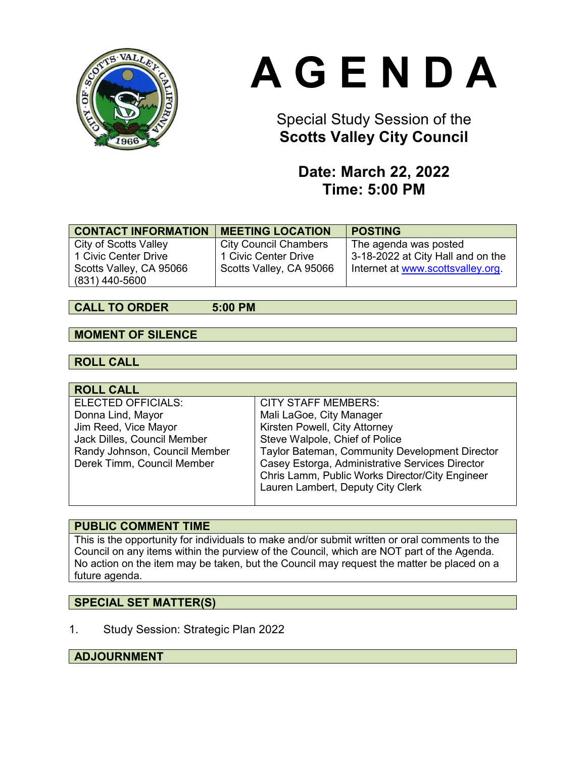

# **A G E N D A**

# Special Study Session of the **Scotts Valley City Council**

## **Date: March 22, 2022 Time: 5:00 PM**

| <b>CONTACT INFORMATION</b>   | <b>MEETING LOCATION</b>      | <b>POSTING</b>                    |
|------------------------------|------------------------------|-----------------------------------|
| <b>City of Scotts Valley</b> | <b>City Council Chambers</b> | The agenda was posted             |
| 1 Civic Center Drive         | 1 Civic Center Drive         | 3-18-2022 at City Hall and on the |
| Scotts Valley, CA 95066      | Scotts Valley, CA 95066      | Internet at www.scottsvalley.org. |
| (831) 440-5600               |                              |                                   |

#### **CALL TO ORDER 5:00 PM**

#### **MOMENT OF SILENCE**

#### **ROLL CALL**

| <b>ROLL CALL</b>              |                                                 |
|-------------------------------|-------------------------------------------------|
| ELECTED OFFICIALS:            | <b>CITY STAFF MEMBERS:</b>                      |
| Donna Lind, Mayor             | Mali LaGoe, City Manager                        |
| Jim Reed, Vice Mayor          | Kirsten Powell, City Attorney                   |
| Jack Dilles, Council Member   | Steve Walpole, Chief of Police                  |
| Randy Johnson, Council Member | Taylor Bateman, Community Development Director  |
| Derek Timm, Council Member    | Casey Estorga, Administrative Services Director |
|                               | Chris Lamm, Public Works Director/City Engineer |
|                               | Lauren Lambert, Deputy City Clerk               |
|                               |                                                 |

#### **PUBLIC COMMENT TIME**

This is the opportunity for individuals to make and/or submit written or oral comments to the Council on any items within the purview of the Council, which are NOT part of the Agenda. No action on the item may be taken, but the Council may request the matter be placed on a future agenda.

#### **SPECIAL SET MATTER(S)**

1. Study Session: Strategic Plan 2022

#### **ADJOURNMENT**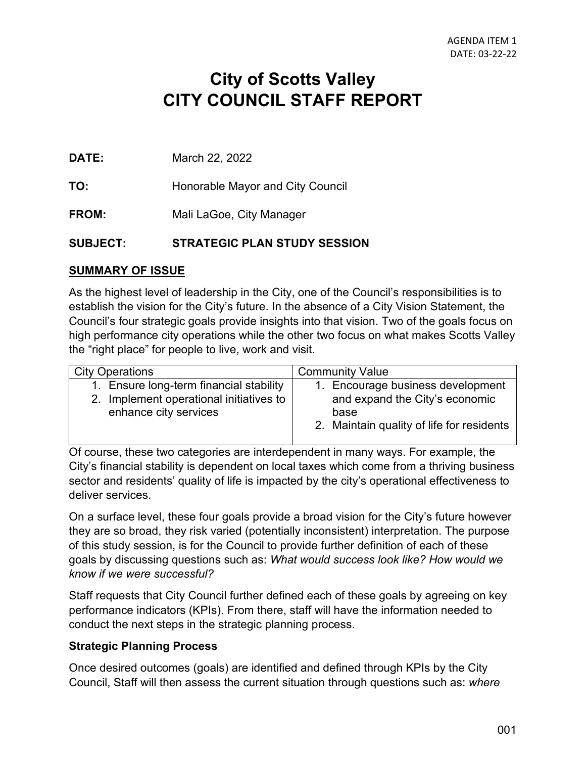# **City of Scotts Valley CITY COUNCIL STAFF REPORT**

**DATE:** March 22, 2022

**TO:** Honorable Mayor and City Council

**FROM:** Mali LaGoe, City Manager

#### **SUBJECT: STRATEGIC PLAN STUDY SESSION**

#### **SUMMARY OF ISSUE**

As the highest level of leadership in the City, one of the Council's responsibilities is to establish the vision for the City's future. In the absence of a City Vision Statement, the Council's four strategic goals provide insights into that vision. Two of the goals focus on high performance city operations while the other two focus on what makes Scotts Valley the "right place" for people to live, work and visit.

| <b>Community Value</b><br><b>City Operations</b>                                                                    |                                                                                                                  |
|---------------------------------------------------------------------------------------------------------------------|------------------------------------------------------------------------------------------------------------------|
| 1. Ensure long-term financial stability<br>2. Implement operational initiatives to<br>enhance city services<br>base | 1. Encourage business development<br>and expand the City's economic<br>2. Maintain quality of life for residents |

Of course, these two categories are interdependent in many ways. For example, the City's financial stability is dependent on local taxes which come from a thriving business sector and residents' quality of life is impacted by the city's operational effectiveness to deliver services.

On a surface level, these four goals provide a broad vision for the City's future however they are so broad, they risk varied (potentially inconsistent) interpretation. The purpose of this study session, is for the Council to provide further definition of each of these goals by discussing questions such as: *What would success look like? How would we know if we were successful?* 

Staff requests that City Council further defined each of these goals by agreeing on key performance indicators (KPIs). From there, staff will have the information needed to conduct the next steps in the strategic planning process.

#### **Strategic Planning Process**

Once desired outcomes (goals) are identified and defined through KPIs by the City Council, Staff will then assess the current situation through questions such as: *where*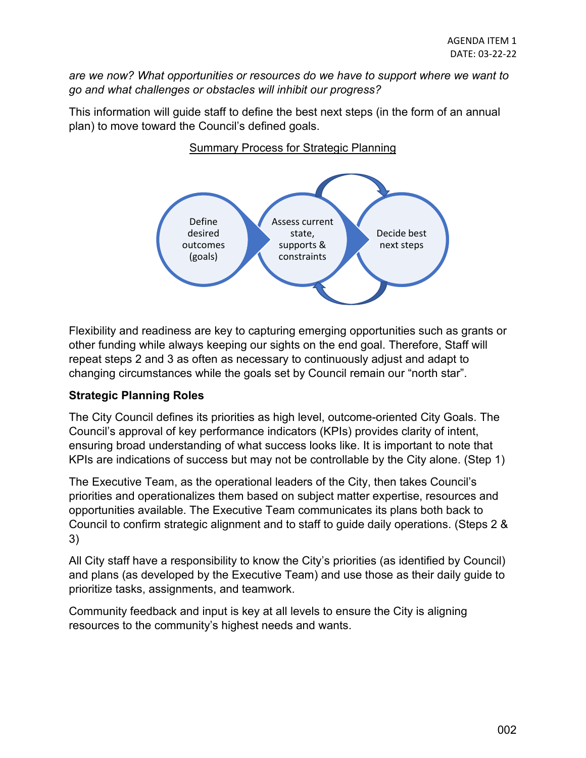*are we now? What opportunities or resources do we have to support where we want to go and what challenges or obstacles will inhibit our progress?*

This information will guide staff to define the best next steps (in the form of an annual plan) to move toward the Council's defined goals.



#### Summary Process for Strategic Planning

Flexibility and readiness are key to capturing emerging opportunities such as grants or other funding while always keeping our sights on the end goal. Therefore, Staff will repeat steps 2 and 3 as often as necessary to continuously adjust and adapt to changing circumstances while the goals set by Council remain our "north star".

#### **Strategic Planning Roles**

The City Council defines its priorities as high level, outcome-oriented City Goals. The Council's approval of key performance indicators (KPIs) provides clarity of intent, ensuring broad understanding of what success looks like. It is important to note that KPIs are indications of success but may not be controllable by the City alone. (Step 1)

The Executive Team, as the operational leaders of the City, then takes Council's priorities and operationalizes them based on subject matter expertise, resources and opportunities available. The Executive Team communicates its plans both back to Council to confirm strategic alignment and to staff to guide daily operations. (Steps 2 & 3)

All City staff have a responsibility to know the City's priorities (as identified by Council) and plans (as developed by the Executive Team) and use those as their daily guide to prioritize tasks, assignments, and teamwork.

Community feedback and input is key at all levels to ensure the City is aligning resources to the community's highest needs and wants.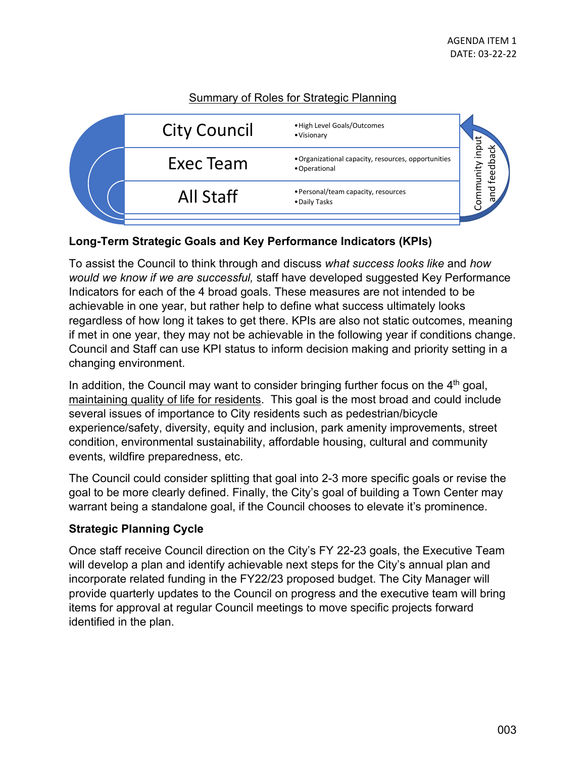#### Summary of Roles for Strategic Planning



#### **Long-Term Strategic Goals and Key Performance Indicators (KPIs)**

To assist the Council to think through and discuss *what success looks like* and *how would we know if we are successful,* staff have developed suggested Key Performance Indicators for each of the 4 broad goals. These measures are not intended to be achievable in one year, but rather help to define what success ultimately looks regardless of how long it takes to get there. KPIs are also not static outcomes, meaning if met in one year, they may not be achievable in the following year if conditions change. Council and Staff can use KPI status to inform decision making and priority setting in a changing environment.

In addition, the Council may want to consider bringing further focus on the  $4<sup>th</sup>$  goal, maintaining quality of life for residents. This goal is the most broad and could include several issues of importance to City residents such as pedestrian/bicycle experience/safety, diversity, equity and inclusion, park amenity improvements, street condition, environmental sustainability, affordable housing, cultural and community events, wildfire preparedness, etc.

The Council could consider splitting that goal into 2-3 more specific goals or revise the goal to be more clearly defined. Finally, the City's goal of building a Town Center may warrant being a standalone goal, if the Council chooses to elevate it's prominence.

#### **Strategic Planning Cycle**

Once staff receive Council direction on the City's FY 22-23 goals, the Executive Team will develop a plan and identify achievable next steps for the City's annual plan and incorporate related funding in the FY22/23 proposed budget. The City Manager will provide quarterly updates to the Council on progress and the executive team will bring items for approval at regular Council meetings to move specific projects forward identified in the plan.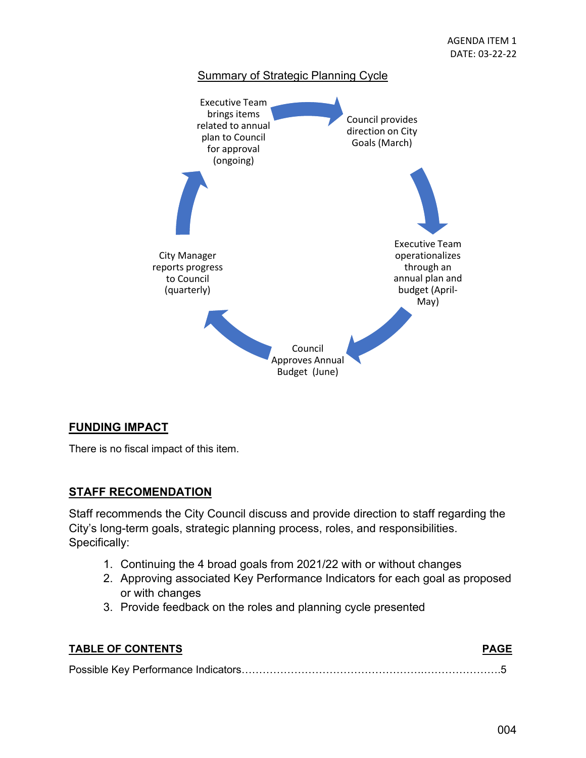

#### **FUNDING IMPACT**

There is no fiscal impact of this item.

#### **STAFF RECOMENDATION**

Staff recommends the City Council discuss and provide direction to staff regarding the City's long-term goals, strategic planning process, roles, and responsibilities. Specifically:

- 1. Continuing the 4 broad goals from 2021/22 with or without changes
- 2. Approving associated Key Performance Indicators for each goal as proposed or with changes
- 3. Provide feedback on the roles and planning cycle presented

| <b>TABLE OF CONTENTS</b> | <b>PAGE</b> |
|--------------------------|-------------|
|                          |             |